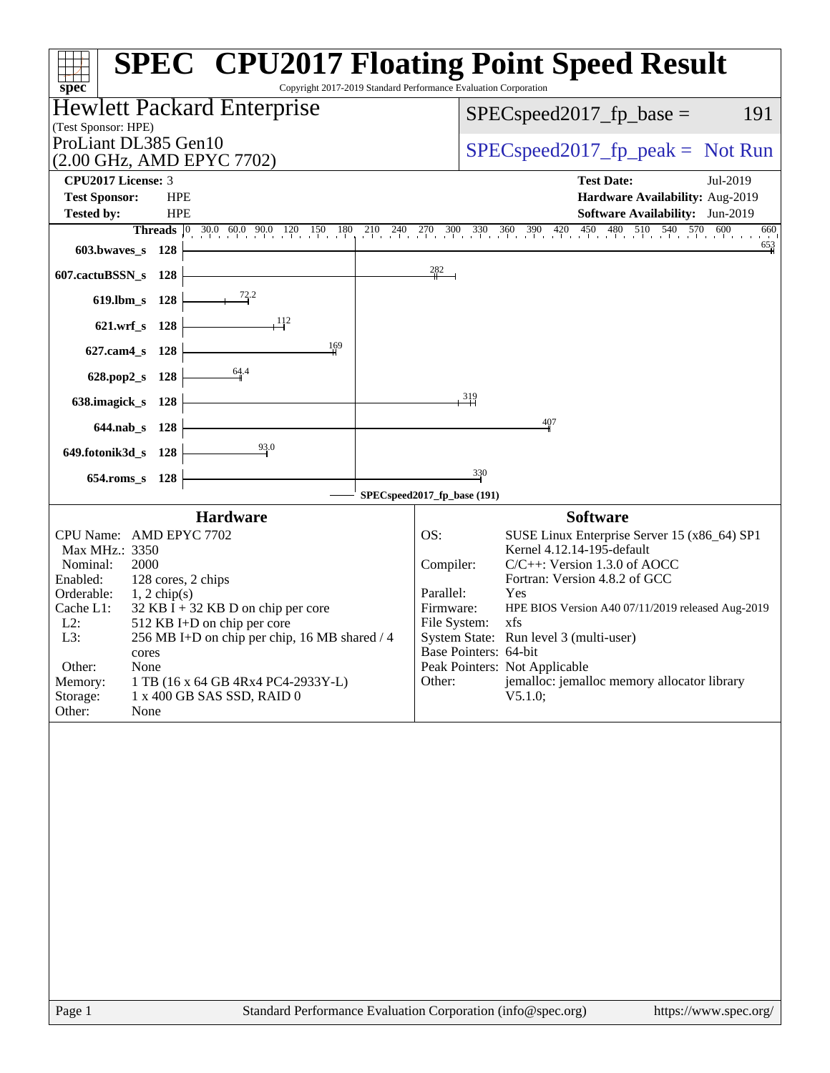| spec <sup>®</sup>                                                                                                                                                                                                                                                                                                                                                                                                             | <b>SPEC<sup>®</sup> CPU2017 Floating Point Speed Result</b><br>Copyright 2017-2019 Standard Performance Evaluation Corporation                                                                                                                                                                                                                                                                                                                          |
|-------------------------------------------------------------------------------------------------------------------------------------------------------------------------------------------------------------------------------------------------------------------------------------------------------------------------------------------------------------------------------------------------------------------------------|---------------------------------------------------------------------------------------------------------------------------------------------------------------------------------------------------------------------------------------------------------------------------------------------------------------------------------------------------------------------------------------------------------------------------------------------------------|
| <b>Hewlett Packard Enterprise</b><br>(Test Sponsor: HPE)                                                                                                                                                                                                                                                                                                                                                                      | 191<br>$SPEC speed2017_fp\_base =$                                                                                                                                                                                                                                                                                                                                                                                                                      |
| ProLiant DL385 Gen10<br>(2.00 GHz, AMD EPYC 7702)                                                                                                                                                                                                                                                                                                                                                                             | $SPEC speed2017_fp\_peak = Not Run$                                                                                                                                                                                                                                                                                                                                                                                                                     |
| CPU2017 License: 3                                                                                                                                                                                                                                                                                                                                                                                                            | <b>Test Date:</b><br>Jul-2019                                                                                                                                                                                                                                                                                                                                                                                                                           |
| <b>Test Sponsor:</b><br><b>HPE</b><br><b>HPE</b>                                                                                                                                                                                                                                                                                                                                                                              | Hardware Availability: Aug-2019                                                                                                                                                                                                                                                                                                                                                                                                                         |
| Tested by:<br><b>Threads</b> $\begin{bmatrix} 0 & 30.0 & 60.0 & 90.0 & 120 & 150 \end{bmatrix}$<br>180                                                                                                                                                                                                                                                                                                                        | Software Availability: Jun-2019<br>$270$ 300 330 360 390 420 450 480 510 540 570 600<br>210 240<br>660                                                                                                                                                                                                                                                                                                                                                  |
| 603.bwaves_s 128                                                                                                                                                                                                                                                                                                                                                                                                              | $\frac{653}{4}$                                                                                                                                                                                                                                                                                                                                                                                                                                         |
| 607.cactuBSSN_s<br>128                                                                                                                                                                                                                                                                                                                                                                                                        | 282                                                                                                                                                                                                                                                                                                                                                                                                                                                     |
| 72.2<br>$619$ .lbm_s<br>128                                                                                                                                                                                                                                                                                                                                                                                                   |                                                                                                                                                                                                                                                                                                                                                                                                                                                         |
| 112<br>621.wrf_s 128                                                                                                                                                                                                                                                                                                                                                                                                          |                                                                                                                                                                                                                                                                                                                                                                                                                                                         |
| 169<br>$627$ .cam $4$ <sub>_S</sub><br>128                                                                                                                                                                                                                                                                                                                                                                                    |                                                                                                                                                                                                                                                                                                                                                                                                                                                         |
| $\frac{64.4}{9}$<br>628.pop2_s<br>128                                                                                                                                                                                                                                                                                                                                                                                         |                                                                                                                                                                                                                                                                                                                                                                                                                                                         |
| 638.imagick_s<br>128                                                                                                                                                                                                                                                                                                                                                                                                          | $\frac{319}{2}$                                                                                                                                                                                                                                                                                                                                                                                                                                         |
| 644.nab s 128                                                                                                                                                                                                                                                                                                                                                                                                                 | 407                                                                                                                                                                                                                                                                                                                                                                                                                                                     |
| 649.fotonik3d_s 128                                                                                                                                                                                                                                                                                                                                                                                                           | $\frac{330}{4}$                                                                                                                                                                                                                                                                                                                                                                                                                                         |
| $654$ .roms_s<br>128                                                                                                                                                                                                                                                                                                                                                                                                          | SPECspeed2017_fp_base (191)                                                                                                                                                                                                                                                                                                                                                                                                                             |
| <b>Hardware</b>                                                                                                                                                                                                                                                                                                                                                                                                               | <b>Software</b>                                                                                                                                                                                                                                                                                                                                                                                                                                         |
| CPU Name: AMD EPYC 7702<br>Max MHz.: 3350<br>Nominal:<br>2000<br>Enabled:<br>128 cores, 2 chips<br>Orderable:<br>$1, 2$ chip(s)<br>Cache L1:<br>$32$ KB I + 32 KB D on chip per core<br>$L2$ :<br>512 KB I+D on chip per core<br>L3:<br>256 MB I+D on chip per chip, 16 MB shared / 4<br>cores<br>Other:<br>None<br>Memory:<br>1 TB (16 x 64 GB 4Rx4 PC4-2933Y-L)<br>1 x 400 GB SAS SSD, RAID 0<br>Storage:<br>Other:<br>None | OS:<br>SUSE Linux Enterprise Server 15 (x86_64) SP1<br>Kernel 4.12.14-195-default<br>$C/C++$ : Version 1.3.0 of AOCC<br>Compiler:<br>Fortran: Version 4.8.2 of GCC<br>Parallel:<br>Yes<br>Firmware:<br>HPE BIOS Version A40 07/11/2019 released Aug-2019<br>File System:<br>xfs<br>System State: Run level 3 (multi-user)<br>Base Pointers: 64-bit<br>Peak Pointers: Not Applicable<br>jemalloc: jemalloc memory allocator library<br>Other:<br>V5.1.0; |
| Page 1                                                                                                                                                                                                                                                                                                                                                                                                                        | Standard Performance Evaluation Corporation (info@spec.org)<br>https://www.spec.org/                                                                                                                                                                                                                                                                                                                                                                    |
|                                                                                                                                                                                                                                                                                                                                                                                                                               |                                                                                                                                                                                                                                                                                                                                                                                                                                                         |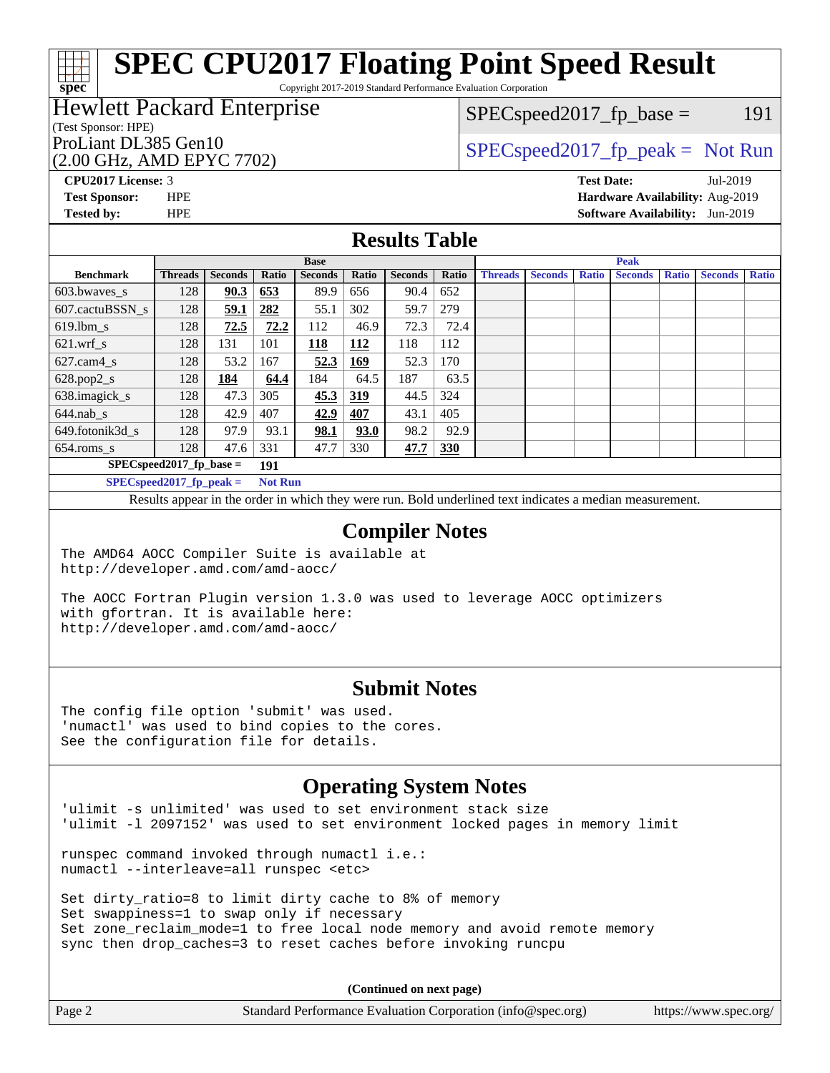Copyright 2017-2019 Standard Performance Evaluation Corporation

# Hewlett Packard Enterprise

## (Test Sponsor: HPE)

(2.00 GHz, AMD EPYC 7702)

 $SPEC speed2017_fp\_base = 191$ 

# ProLiant DL385 Gen10  $SPEC speed2017$  [p\_peak = Not Run

**[CPU2017 License:](http://www.spec.org/auto/cpu2017/Docs/result-fields.html#CPU2017License)** 3 **[Test Date:](http://www.spec.org/auto/cpu2017/Docs/result-fields.html#TestDate)** Jul-2019 **[Test Sponsor:](http://www.spec.org/auto/cpu2017/Docs/result-fields.html#TestSponsor)** HPE **[Hardware Availability:](http://www.spec.org/auto/cpu2017/Docs/result-fields.html#HardwareAvailability)** Aug-2019 **[Tested by:](http://www.spec.org/auto/cpu2017/Docs/result-fields.html#Testedby)** HPE **[Software Availability:](http://www.spec.org/auto/cpu2017/Docs/result-fields.html#SoftwareAvailability)** Jun-2019

### **[Results Table](http://www.spec.org/auto/cpu2017/Docs/result-fields.html#ResultsTable)**

|                                   | <b>Base</b>    |                |       |                |            |                | <b>Peak</b> |                |                |              |                |              |                |              |
|-----------------------------------|----------------|----------------|-------|----------------|------------|----------------|-------------|----------------|----------------|--------------|----------------|--------------|----------------|--------------|
| <b>Benchmark</b>                  | <b>Threads</b> | <b>Seconds</b> | Ratio | <b>Seconds</b> | Ratio      | <b>Seconds</b> | Ratio       | <b>Threads</b> | <b>Seconds</b> | <b>Ratio</b> | <b>Seconds</b> | <b>Ratio</b> | <b>Seconds</b> | <b>Ratio</b> |
| 603.bwayes s                      | 128            | 90.3           | 653   | 89.9           | 656        | 90.4           | 652         |                |                |              |                |              |                |              |
| 607.cactuBSSN s                   | 128            | 59.1           | 282   | 55.1           | 302        | 59.7           | 279         |                |                |              |                |              |                |              |
| $619.$ lbm s                      | 128            | 72.5           | 72.2  | 112            | 46.9       | 72.3           | 72.4        |                |                |              |                |              |                |              |
| $621.wrf$ s                       | 128            | 131            | 101   | 118            | 112        | 118            | 112         |                |                |              |                |              |                |              |
| $627$ .cam $4 \text{ s}$          | 128            | 53.2           | 167   | 52.3           | <u>169</u> | 52.3           | 170         |                |                |              |                |              |                |              |
| $628.pop2_s$                      | 128            | 184            | 64.4  | 184            | 64.5       | 187            | 63.5        |                |                |              |                |              |                |              |
| 638.imagick_s                     | 128            | 47.3           | 305   | 45.3           | 319        | 44.5           | 324         |                |                |              |                |              |                |              |
| $644$ .nab s                      | 128            | 42.9           | 407   | 42.9           | 407        | 43.1           | 405         |                |                |              |                |              |                |              |
| 649.fotonik3d s                   | 128            | 97.9           | 93.1  | 98.1           | 93.0       | 98.2           | 92.9        |                |                |              |                |              |                |              |
| $654$ .roms_s                     | 128            | 47.6           | 331   | 47.7           | 330        | 47.7           | <b>330</b>  |                |                |              |                |              |                |              |
| $SPEC speed2017$ fp base =<br>191 |                |                |       |                |            |                |             |                |                |              |                |              |                |              |
| SPECspeed 2017 fp peak $=$        | <b>Not Run</b> |                |       |                |            |                |             |                |                |              |                |              |                |              |

Results appear in the [order in which they were run.](http://www.spec.org/auto/cpu2017/Docs/result-fields.html#RunOrder) Bold underlined text [indicates a median measurement](http://www.spec.org/auto/cpu2017/Docs/result-fields.html#Median).

#### **[Compiler Notes](http://www.spec.org/auto/cpu2017/Docs/result-fields.html#CompilerNotes)**

The AMD64 AOCC Compiler Suite is available at <http://developer.amd.com/amd-aocc/>

The AOCC Fortran Plugin version 1.3.0 was used to leverage AOCC optimizers with gfortran. It is available here: <http://developer.amd.com/amd-aocc/>

#### **[Submit Notes](http://www.spec.org/auto/cpu2017/Docs/result-fields.html#SubmitNotes)**

The config file option 'submit' was used. 'numactl' was used to bind copies to the cores. See the configuration file for details.

# **[Operating System Notes](http://www.spec.org/auto/cpu2017/Docs/result-fields.html#OperatingSystemNotes)**

'ulimit -s unlimited' was used to set environment stack size 'ulimit -l 2097152' was used to set environment locked pages in memory limit

runspec command invoked through numactl i.e.: numactl --interleave=all runspec <etc>

Set dirty\_ratio=8 to limit dirty cache to 8% of memory Set swappiness=1 to swap only if necessary Set zone\_reclaim\_mode=1 to free local node memory and avoid remote memory sync then drop\_caches=3 to reset caches before invoking runcpu

**(Continued on next page)**

| Page 2 | Standard Performance Evaluation Corporation (info@spec.org) | https://www.spec.org/ |
|--------|-------------------------------------------------------------|-----------------------|
|--------|-------------------------------------------------------------|-----------------------|

**[spec](http://www.spec.org/)**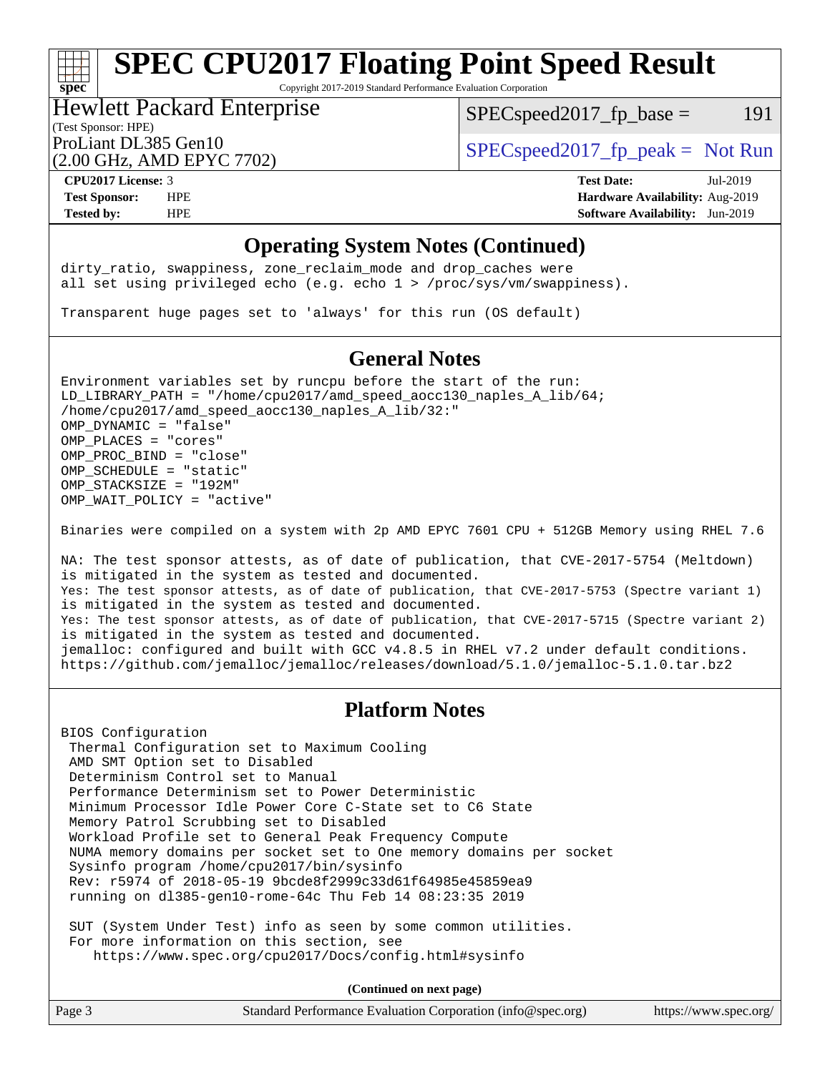Copyright 2017-2019 Standard Performance Evaluation Corporation

#### (Test Sponsor: HPE) Hewlett Packard Enterprise

 $SPEC speed2017_fp\_base = 191$ 

(2.00 GHz, AMD EPYC 7702)

ProLiant DL385 Gen10  $SPEC speed2017<sub>fp</sub> peak = Not Run$ 

**[spec](http://www.spec.org/)**

**[CPU2017 License:](http://www.spec.org/auto/cpu2017/Docs/result-fields.html#CPU2017License)** 3 **[Test Date:](http://www.spec.org/auto/cpu2017/Docs/result-fields.html#TestDate)** Jul-2019 **[Test Sponsor:](http://www.spec.org/auto/cpu2017/Docs/result-fields.html#TestSponsor)** HPE **[Hardware Availability:](http://www.spec.org/auto/cpu2017/Docs/result-fields.html#HardwareAvailability)** Aug-2019 **[Tested by:](http://www.spec.org/auto/cpu2017/Docs/result-fields.html#Testedby)** HPE **[Software Availability:](http://www.spec.org/auto/cpu2017/Docs/result-fields.html#SoftwareAvailability)** Jun-2019

### **[Operating System Notes \(Continued\)](http://www.spec.org/auto/cpu2017/Docs/result-fields.html#OperatingSystemNotes)**

dirty\_ratio, swappiness, zone\_reclaim\_mode and drop caches were all set using privileged echo (e.g. echo 1 > /proc/sys/vm/swappiness).

Transparent huge pages set to 'always' for this run (OS default)

## **[General Notes](http://www.spec.org/auto/cpu2017/Docs/result-fields.html#GeneralNotes)**

Environment variables set by runcpu before the start of the run: LD\_LIBRARY\_PATH = "/home/cpu2017/amd\_speed\_aocc130\_naples\_A\_lib/64; /home/cpu2017/amd\_speed\_aocc130\_naples\_A\_lib/32:" OMP\_DYNAMIC = "false" OMP\_PLACES = "cores" OMP\_PROC\_BIND = "close" OMP\_SCHEDULE = "static" OMP\_STACKSIZE = "192M" OMP WAIT POLICY = "active"

Binaries were compiled on a system with 2p AMD EPYC 7601 CPU + 512GB Memory using RHEL 7.6

NA: The test sponsor attests, as of date of publication, that CVE-2017-5754 (Meltdown) is mitigated in the system as tested and documented. Yes: The test sponsor attests, as of date of publication, that CVE-2017-5753 (Spectre variant 1) is mitigated in the system as tested and documented. Yes: The test sponsor attests, as of date of publication, that CVE-2017-5715 (Spectre variant 2) is mitigated in the system as tested and documented. jemalloc: configured and built with GCC v4.8.5 in RHEL v7.2 under default conditions. <https://github.com/jemalloc/jemalloc/releases/download/5.1.0/jemalloc-5.1.0.tar.bz2>

### **[Platform Notes](http://www.spec.org/auto/cpu2017/Docs/result-fields.html#PlatformNotes)**

BIOS Configuration Thermal Configuration set to Maximum Cooling AMD SMT Option set to Disabled Determinism Control set to Manual Performance Determinism set to Power Deterministic Minimum Processor Idle Power Core C-State set to C6 State Memory Patrol Scrubbing set to Disabled Workload Profile set to General Peak Frequency Compute NUMA memory domains per socket set to One memory domains per socket Sysinfo program /home/cpu2017/bin/sysinfo Rev: r5974 of 2018-05-19 9bcde8f2999c33d61f64985e45859ea9 running on dl385-gen10-rome-64c Thu Feb 14 08:23:35 2019

 SUT (System Under Test) info as seen by some common utilities. For more information on this section, see <https://www.spec.org/cpu2017/Docs/config.html#sysinfo>

**(Continued on next page)**

| Page 3<br>Standard Performance Evaluation Corporation (info@spec.org) | https://www.spec.org/ |
|-----------------------------------------------------------------------|-----------------------|
|-----------------------------------------------------------------------|-----------------------|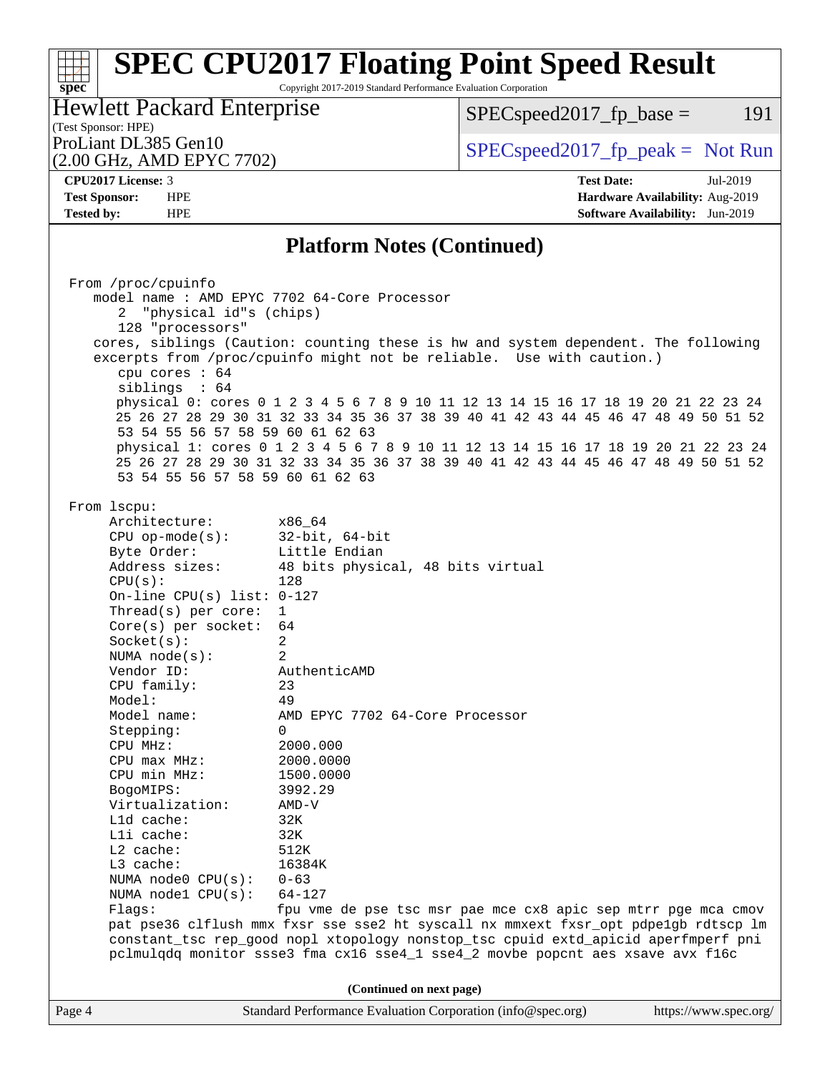Copyright 2017-2019 Standard Performance Evaluation Corporation

# (Test Sponsor: HPE)<br>ProLiant DL385 Gen10 Hewlett Packard Enterprise

 $SPECspeed2017_fp\_base = 191$ 

(2.00 GHz, AMD EPYC 7702)

 $SPECspeed2017_fp\_peak = Not Run$ 

**[spec](http://www.spec.org/)**

**[CPU2017 License:](http://www.spec.org/auto/cpu2017/Docs/result-fields.html#CPU2017License)** 3 **[Test Date:](http://www.spec.org/auto/cpu2017/Docs/result-fields.html#TestDate)** Jul-2019 **[Test Sponsor:](http://www.spec.org/auto/cpu2017/Docs/result-fields.html#TestSponsor)** HPE **[Hardware Availability:](http://www.spec.org/auto/cpu2017/Docs/result-fields.html#HardwareAvailability)** Aug-2019 **[Tested by:](http://www.spec.org/auto/cpu2017/Docs/result-fields.html#Testedby)** HPE **[Software Availability:](http://www.spec.org/auto/cpu2017/Docs/result-fields.html#SoftwareAvailability)** Jun-2019

### **[Platform Notes \(Continued\)](http://www.spec.org/auto/cpu2017/Docs/result-fields.html#PlatformNotes)**

|        | From /proc/cpuinfo                                                                 |                                                                                     |                       |  |  |  |  |  |  |
|--------|------------------------------------------------------------------------------------|-------------------------------------------------------------------------------------|-----------------------|--|--|--|--|--|--|
|        | model name : AMD EPYC 7702 64-Core Processor                                       |                                                                                     |                       |  |  |  |  |  |  |
|        | "physical id"s (chips)<br>2                                                        |                                                                                     |                       |  |  |  |  |  |  |
|        | 128 "processors"                                                                   |                                                                                     |                       |  |  |  |  |  |  |
|        | cores, siblings (Caution: counting these is hw and system dependent. The following |                                                                                     |                       |  |  |  |  |  |  |
|        |                                                                                    |                                                                                     |                       |  |  |  |  |  |  |
|        | excerpts from /proc/cpuinfo might not be reliable. Use with caution.)              |                                                                                     |                       |  |  |  |  |  |  |
|        | cpu cores : 64                                                                     |                                                                                     |                       |  |  |  |  |  |  |
|        | siblings : 64                                                                      |                                                                                     |                       |  |  |  |  |  |  |
|        |                                                                                    | physical 0: cores 0 1 2 3 4 5 6 7 8 9 10 11 12 13 14 15 16 17 18 19 20 21 22 23 24  |                       |  |  |  |  |  |  |
|        |                                                                                    | 25 26 27 28 29 30 31 32 33 34 35 36 37 38 39 40 41 42 43 44 45 46 47 48 49 50 51 52 |                       |  |  |  |  |  |  |
|        | 53 54 55 56 57 58 59 60 61 62 63                                                   |                                                                                     |                       |  |  |  |  |  |  |
|        |                                                                                    | physical 1: cores 0 1 2 3 4 5 6 7 8 9 10 11 12 13 14 15 16 17 18 19 20 21 22 23 24  |                       |  |  |  |  |  |  |
|        |                                                                                    | 25 26 27 28 29 30 31 32 33 34 35 36 37 38 39 40 41 42 43 44 45 46 47 48 49 50 51 52 |                       |  |  |  |  |  |  |
|        | 53 54 55 56 57 58 59 60 61 62 63                                                   |                                                                                     |                       |  |  |  |  |  |  |
|        |                                                                                    |                                                                                     |                       |  |  |  |  |  |  |
|        | From lscpu:                                                                        |                                                                                     |                       |  |  |  |  |  |  |
|        | Architecture:                                                                      | x86 64                                                                              |                       |  |  |  |  |  |  |
|        | $CPU$ op-mode( $s$ ):                                                              | 32-bit, 64-bit                                                                      |                       |  |  |  |  |  |  |
|        | Byte Order:                                                                        | Little Endian                                                                       |                       |  |  |  |  |  |  |
|        | Address sizes:                                                                     | 48 bits physical, 48 bits virtual                                                   |                       |  |  |  |  |  |  |
|        | CPU(s):                                                                            | 128                                                                                 |                       |  |  |  |  |  |  |
|        | On-line CPU(s) list: $0-127$                                                       |                                                                                     |                       |  |  |  |  |  |  |
|        | Thread( $s$ ) per core:                                                            | $\mathbf{1}$                                                                        |                       |  |  |  |  |  |  |
|        | $Core(s)$ per socket:                                                              | 64                                                                                  |                       |  |  |  |  |  |  |
|        | Socket(s):                                                                         | 2                                                                                   |                       |  |  |  |  |  |  |
|        | NUMA $node(s):$                                                                    | $\overline{2}$                                                                      |                       |  |  |  |  |  |  |
|        | Vendor ID:                                                                         | AuthenticAMD                                                                        |                       |  |  |  |  |  |  |
|        | CPU family:                                                                        | 23                                                                                  |                       |  |  |  |  |  |  |
|        | Model:                                                                             | 49                                                                                  |                       |  |  |  |  |  |  |
|        | Model name:                                                                        | AMD EPYC 7702 64-Core Processor                                                     |                       |  |  |  |  |  |  |
|        | Stepping:                                                                          | $\mathbf{0}$                                                                        |                       |  |  |  |  |  |  |
|        | CPU MHz:                                                                           | 2000.000                                                                            |                       |  |  |  |  |  |  |
|        | $CPU$ max $MHz$ :                                                                  | 2000.0000                                                                           |                       |  |  |  |  |  |  |
|        | CPU min MHz:                                                                       | 1500.0000                                                                           |                       |  |  |  |  |  |  |
|        | BogoMIPS:                                                                          | 3992.29                                                                             |                       |  |  |  |  |  |  |
|        | Virtualization:                                                                    | $AMD-V$                                                                             |                       |  |  |  |  |  |  |
|        | L1d cache:                                                                         | 32K                                                                                 |                       |  |  |  |  |  |  |
|        | Lli cache:                                                                         | 32K                                                                                 |                       |  |  |  |  |  |  |
|        | L2 cache:                                                                          | 512K                                                                                |                       |  |  |  |  |  |  |
|        | L3 cache:                                                                          | 16384K                                                                              |                       |  |  |  |  |  |  |
|        |                                                                                    |                                                                                     |                       |  |  |  |  |  |  |
|        | NUMA node0 $CPU(s): 0-63$                                                          |                                                                                     |                       |  |  |  |  |  |  |
|        | NUMA nodel $CPU(s):$                                                               | $64 - 127$                                                                          |                       |  |  |  |  |  |  |
|        | Flaqs:                                                                             | fpu vme de pse tsc msr pae mce cx8 apic sep mtrr pge mca cmov                       |                       |  |  |  |  |  |  |
|        |                                                                                    | pat pse36 clflush mmx fxsr sse sse2 ht syscall nx mmxext fxsr_opt pdpelgb rdtscp lm |                       |  |  |  |  |  |  |
|        |                                                                                    | constant_tsc rep_good nopl xtopology nonstop_tsc cpuid extd_apicid aperfmperf pni   |                       |  |  |  |  |  |  |
|        |                                                                                    | pclmulqdq monitor ssse3 fma cx16 sse4_1 sse4_2 movbe popcnt aes xsave avx f16c      |                       |  |  |  |  |  |  |
|        |                                                                                    |                                                                                     |                       |  |  |  |  |  |  |
|        | (Continued on next page)                                                           |                                                                                     |                       |  |  |  |  |  |  |
| Page 4 |                                                                                    | Standard Performance Evaluation Corporation (info@spec.org)                         | https://www.spec.org/ |  |  |  |  |  |  |
|        |                                                                                    |                                                                                     |                       |  |  |  |  |  |  |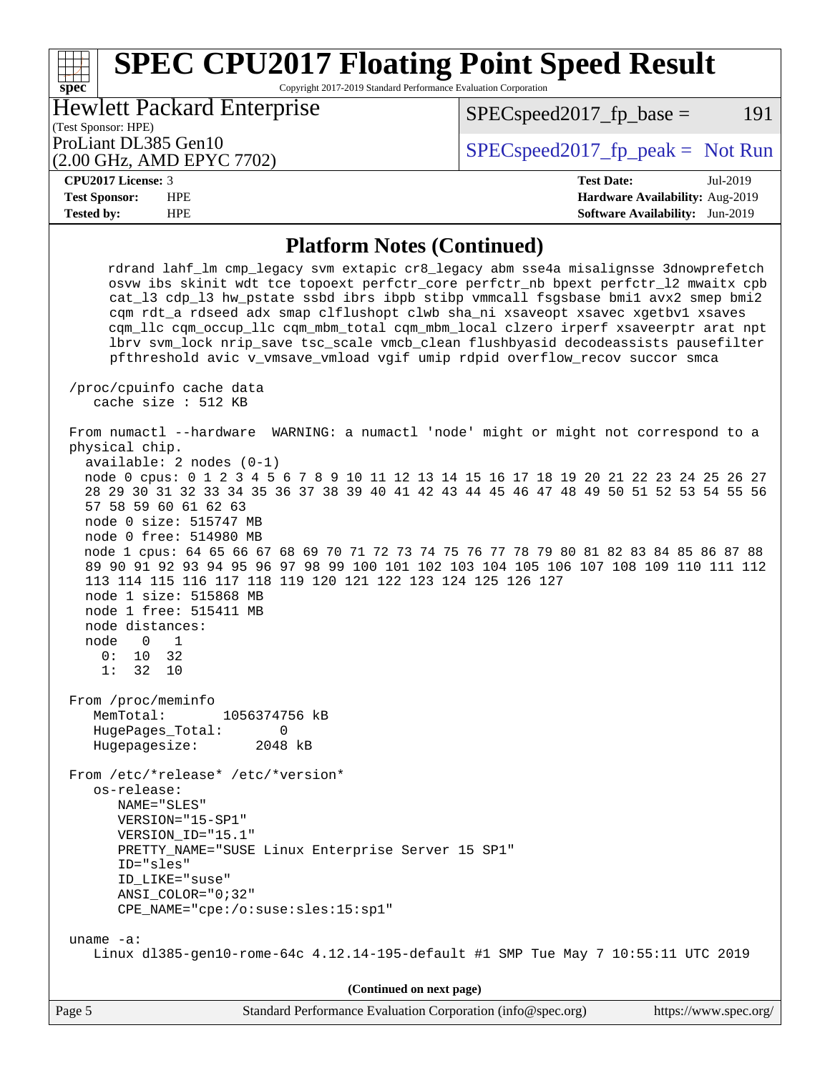Copyright 2017-2019 Standard Performance Evaluation Corporation

(Test Sponsor: HPE) Hewlett Packard Enterprise

(2.00 GHz, AMD EPYC 7702)

ProLiant DL385 Gen10  $SPEC speed2017$  [p\_peak = Not Run

 $SPEC speed2017<sub>fp</sub> base = 191$ 

| $\mathbf{D}$<br>-<br>ense.<br>ÖΩ<br><b>M</b><br>ΖU<br>$\overline{\mathbf{u}}$<br><br>.<br>. | $\sim$ |
|---------------------------------------------------------------------------------------------|--------|

**[spec](http://www.spec.org/)**

**[Test Sponsor:](http://www.spec.org/auto/cpu2017/Docs/result-fields.html#TestSponsor)** HPE **[Hardware Availability:](http://www.spec.org/auto/cpu2017/Docs/result-fields.html#HardwareAvailability)** Aug-2019 **[Tested by:](http://www.spec.org/auto/cpu2017/Docs/result-fields.html#Testedby)** HPE **[Software Availability:](http://www.spec.org/auto/cpu2017/Docs/result-fields.html#SoftwareAvailability)** Jun-2019

#### **[Platform Notes \(Continued\)](http://www.spec.org/auto/cpu2017/Docs/result-fields.html#PlatformNotes)**

 rdrand lahf\_lm cmp\_legacy svm extapic cr8\_legacy abm sse4a misalignsse 3dnowprefetch osvw ibs skinit wdt tce topoext perfctr\_core perfctr\_nb bpext perfctr\_l2 mwaitx cpb cat\_l3 cdp\_l3 hw\_pstate ssbd ibrs ibpb stibp vmmcall fsgsbase bmi1 avx2 smep bmi2 cqm rdt\_a rdseed adx smap clflushopt clwb sha\_ni xsaveopt xsavec xgetbv1 xsaves cqm\_llc cqm\_occup\_llc cqm\_mbm\_total cqm\_mbm\_local clzero irperf xsaveerptr arat npt lbrv svm\_lock nrip\_save\_tsc\_scale\_vmcb\_clean flushbyasid decodeassists pausefilter pfthreshold avic v\_vmsave\_vmload vgif umip rdpid overflow\_recov succor smca /proc/cpuinfo cache data cache size : 512 KB From numactl --hardware WARNING: a numactl 'node' might or might not correspond to a physical chip. available: 2 nodes (0-1) node 0 cpus: 0 1 2 3 4 5 6 7 8 9 10 11 12 13 14 15 16 17 18 19 20 21 22 23 24 25 26 27 28 29 30 31 32 33 34 35 36 37 38 39 40 41 42 43 44 45 46 47 48 49 50 51 52 53 54 55 56 57 58 59 60 61 62 63 node 0 size: 515747 MB node 0 free: 514980 MB node 1 cpus: 64 65 66 67 68 69 70 71 72 73 74 75 76 77 78 79 80 81 82 83 84 85 86 87 88

 89 90 91 92 93 94 95 96 97 98 99 100 101 102 103 104 105 106 107 108 109 110 111 112 113 114 115 116 117 118 119 120 121 122 123 124 125 126 127 node 1 size: 515868 MB

 node 1 free: 515411 MB node distances: node 0 1

 0: 10 32 1: 32 10

 From /proc/meminfo MemTotal: 1056374756 kB HugePages\_Total: 0 Hugepagesize: 2048 kB

From /etc/\*release\* /etc/\*version\*

 os-release: NAME="SLES" VERSION="15-SP1" VERSION\_ID="15.1" PRETTY\_NAME="SUSE Linux Enterprise Server 15 SP1" ID="sles" ID\_LIKE="suse" ANSI\_COLOR="0;32"

CPE\_NAME="cpe:/o:suse:sles:15:sp1"

 uname -a: Linux dl385-gen10-rome-64c 4.12.14-195-default #1 SMP Tue May 7 10:55:11 UTC 2019

**(Continued on next page)**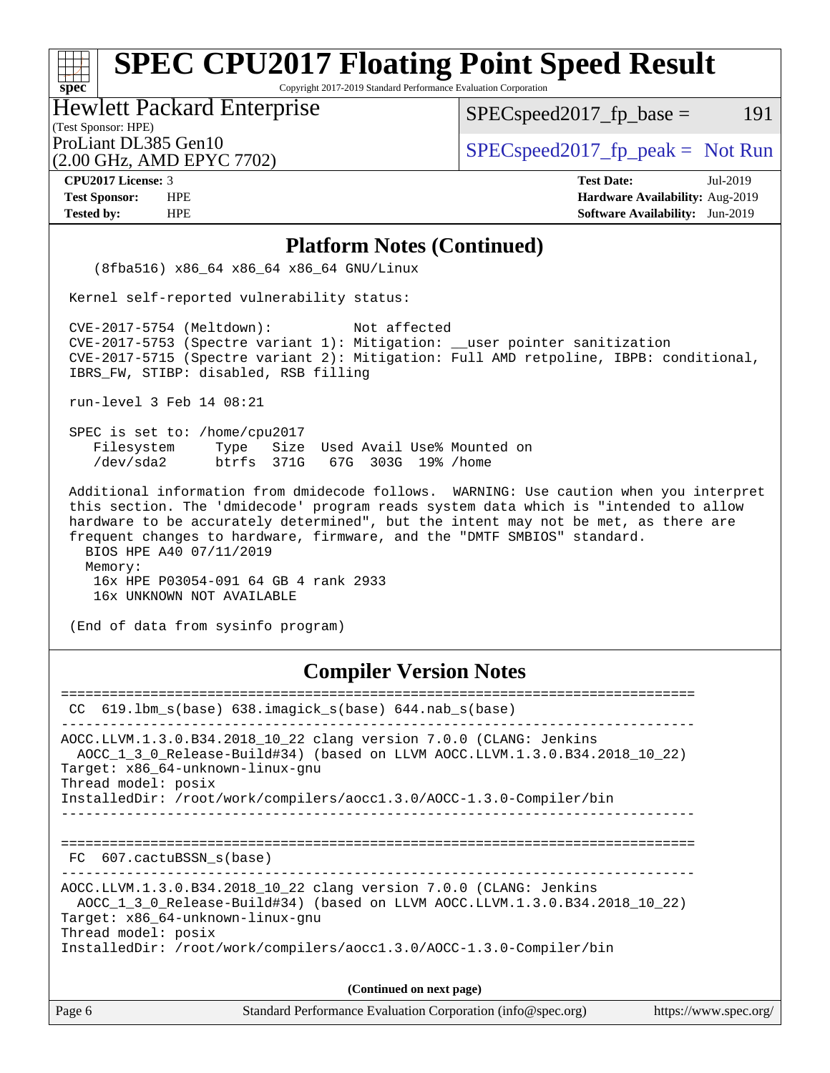Copyright 2017-2019 Standard Performance Evaluation Corporation

(Test Sponsor: HPE) Hewlett Packard Enterprise

 $SPEC speed2017_fp\_base = 191$ 

(2.00 GHz, AMD EPYC 7702)

ProLiant DL385 Gen10  $SPEC speed2017_f$   $peak = Not Run$ 

**[spec](http://www.spec.org/)**

**[CPU2017 License:](http://www.spec.org/auto/cpu2017/Docs/result-fields.html#CPU2017License)** 3 **[Test Date:](http://www.spec.org/auto/cpu2017/Docs/result-fields.html#TestDate)** Jul-2019 **[Test Sponsor:](http://www.spec.org/auto/cpu2017/Docs/result-fields.html#TestSponsor)** HPE **[Hardware Availability:](http://www.spec.org/auto/cpu2017/Docs/result-fields.html#HardwareAvailability)** Aug-2019 **[Tested by:](http://www.spec.org/auto/cpu2017/Docs/result-fields.html#Testedby)** HPE **[Software Availability:](http://www.spec.org/auto/cpu2017/Docs/result-fields.html#SoftwareAvailability)** Jun-2019

#### **[Platform Notes \(Continued\)](http://www.spec.org/auto/cpu2017/Docs/result-fields.html#PlatformNotes)**

 (8fba516) x86\_64 x86\_64 x86\_64 GNU/Linux Kernel self-reported vulnerability status: CVE-2017-5754 (Meltdown): Not affected CVE-2017-5753 (Spectre variant 1): Mitigation: \_\_user pointer sanitization CVE-2017-5715 (Spectre variant 2): Mitigation: Full AMD retpoline, IBPB: conditional, IBRS\_FW, STIBP: disabled, RSB filling run-level 3 Feb 14 08:21 SPEC is set to: /home/cpu2017 Filesystem Type Size Used Avail Use% Mounted on /dev/sda2 btrfs 371G 67G 303G 19% /home Additional information from dmidecode follows. WARNING: Use caution when you interpret this section. The 'dmidecode' program reads system data which is "intended to allow hardware to be accurately determined", but the intent may not be met, as there are frequent changes to hardware, firmware, and the "DMTF SMBIOS" standard. BIOS HPE A40 07/11/2019

 Memory: 16x HPE P03054-091 64 GB 4 rank 2933 16x UNKNOWN NOT AVAILABLE

(End of data from sysinfo program)

### **[Compiler Version Notes](http://www.spec.org/auto/cpu2017/Docs/result-fields.html#CompilerVersionNotes)**

| CC $619.1$ bm $s(base)$ $638.imagick$ $s(base)$ $644.nab$ $s(base)$                                                                                                                                                                                                                  |  |  |  |  |  |  |
|--------------------------------------------------------------------------------------------------------------------------------------------------------------------------------------------------------------------------------------------------------------------------------------|--|--|--|--|--|--|
| AOCC.LLVM.1.3.0.B34.2018_10_22 clang version 7.0.0 (CLANG: Jenkins<br>AOCC 1 3 0 Release-Build#34) (based on LLVM AOCC.LLVM.1.3.0.B34.2018 10 22)<br>Target: x86 64-unknown-linux-gnu<br>Thread model: posix<br>InstalledDir: /root/work/compilers/aoccl.3.0/AOCC-1.3.0-Compiler/bin |  |  |  |  |  |  |
| FC 607.cactuBSSN s(base)                                                                                                                                                                                                                                                             |  |  |  |  |  |  |
| AOCC.LLVM.1.3.0.B34.2018_10_22 clang version 7.0.0 (CLANG: Jenkins<br>AOCC 1 3 0 Release-Build#34) (based on LLVM AOCC.LLVM.1.3.0.B34.2018 10 22)<br>Target: x86 64-unknown-linux-gnu<br>Thread model: posix<br>InstalledDir: /root/work/compilers/aocc1.3.0/AOCC-1.3.0-Compiler/bin |  |  |  |  |  |  |
| (Continued on next page)                                                                                                                                                                                                                                                             |  |  |  |  |  |  |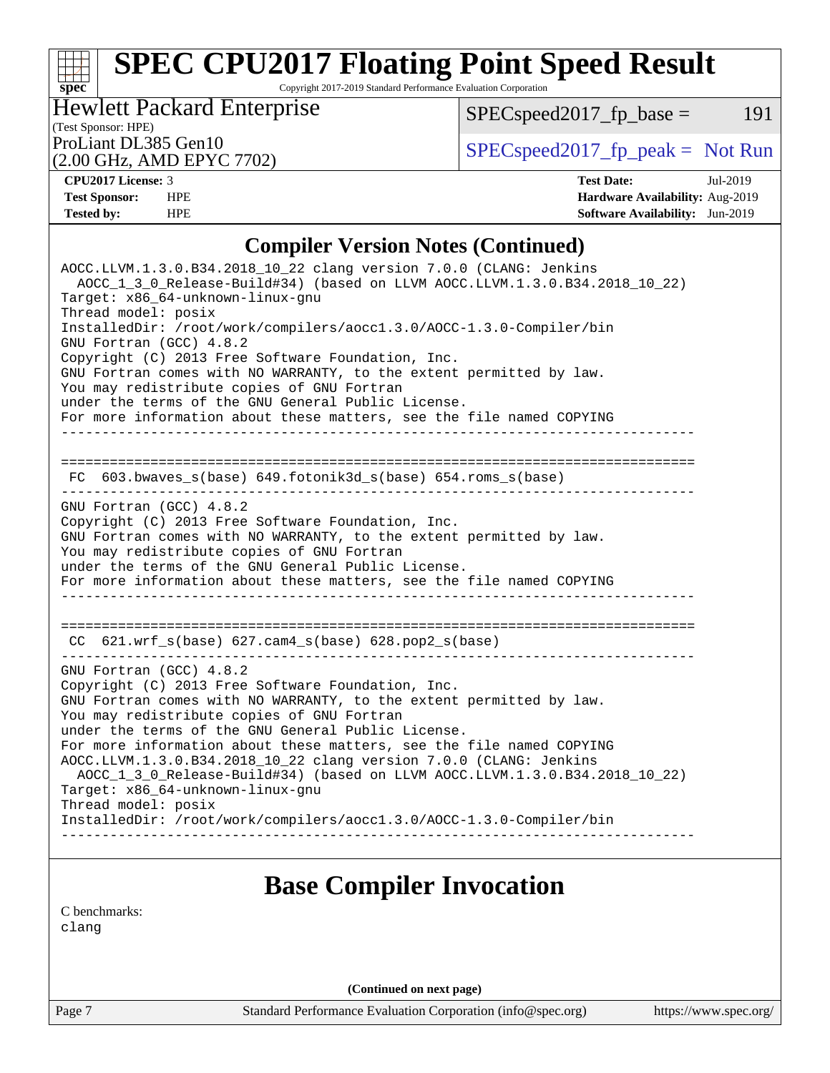Copyright 2017-2019 Standard Performance Evaluation Corporation

(Test Sponsor: HPE) Hewlett Packard Enterprise

 $SPECspeed2017_fp\_base = 191$ 

(2.00 GHz, AMD EPYC 7702)

ProLiant DL385 Gen10  $SPEC speed2017$  [p\_peak = Not Run

**[spec](http://www.spec.org/)**

**[CPU2017 License:](http://www.spec.org/auto/cpu2017/Docs/result-fields.html#CPU2017License)** 3 **[Test Date:](http://www.spec.org/auto/cpu2017/Docs/result-fields.html#TestDate)** Jul-2019 **[Test Sponsor:](http://www.spec.org/auto/cpu2017/Docs/result-fields.html#TestSponsor)** HPE **[Hardware Availability:](http://www.spec.org/auto/cpu2017/Docs/result-fields.html#HardwareAvailability)** Aug-2019 **[Tested by:](http://www.spec.org/auto/cpu2017/Docs/result-fields.html#Testedby)** HPE **[Software Availability:](http://www.spec.org/auto/cpu2017/Docs/result-fields.html#SoftwareAvailability)** Jun-2019

## **[Compiler Version Notes \(Continued\)](http://www.spec.org/auto/cpu2017/Docs/result-fields.html#CompilerVersionNotes)**

| AOCC.LLVM.1.3.0.B34.2018_10_22 clang version 7.0.0 (CLANG: Jenkins<br>AOCC 1 3 0 Release-Build#34) (based on LLVM AOCC.LLVM.1.3.0.B34.2018 10 22)<br>Target: x86 64-unknown-linux-gnu<br>Thread model: posix<br>InstalledDir: /root/work/compilers/aoccl.3.0/AOCC-1.3.0-Compiler/bin<br>GNU Fortran (GCC) 4.8.2<br>Copyright (C) 2013 Free Software Foundation, Inc.<br>GNU Fortran comes with NO WARRANTY, to the extent permitted by law.<br>You may redistribute copies of GNU Fortran<br>under the terms of the GNU General Public License.<br>For more information about these matters, see the file named COPYING |
|-------------------------------------------------------------------------------------------------------------------------------------------------------------------------------------------------------------------------------------------------------------------------------------------------------------------------------------------------------------------------------------------------------------------------------------------------------------------------------------------------------------------------------------------------------------------------------------------------------------------------|
| FC $603.bwaves$ s(base) $649.fotonik3d$ s(base) $654.roms$ s(base)                                                                                                                                                                                                                                                                                                                                                                                                                                                                                                                                                      |
| GNU Fortran (GCC) 4.8.2<br>Copyright (C) 2013 Free Software Foundation, Inc.<br>GNU Fortran comes with NO WARRANTY, to the extent permitted by law.<br>You may redistribute copies of GNU Fortran<br>under the terms of the GNU General Public License.<br>For more information about these matters, see the file named COPYING                                                                                                                                                                                                                                                                                         |
| CC 621.wrf_s(base) 627.cam4_s(base) 628.pop2_s(base)                                                                                                                                                                                                                                                                                                                                                                                                                                                                                                                                                                    |
| GNU Fortran (GCC) 4.8.2<br>Copyright (C) 2013 Free Software Foundation, Inc.<br>GNU Fortran comes with NO WARRANTY, to the extent permitted by law.<br>You may redistribute copies of GNU Fortran<br>under the terms of the GNU General Public License.<br>For more information about these matters, see the file named COPYING<br>AOCC.LLVM.1.3.0.B34.2018_10_22 clang version 7.0.0 (CLANG: Jenkins<br>AOCC_1_3_0_Release-Build#34) (based on LLVM AOCC.LLVM.1.3.0.B34.2018_10_22)<br>Target: x86_64-unknown-linux-gnu<br>Thread model: posix<br>InstalledDir: /root/work/compilers/aoccl.3.0/AOCC-1.3.0-Compiler/bin |
|                                                                                                                                                                                                                                                                                                                                                                                                                                                                                                                                                                                                                         |
| <b>Base Compiler Invocation</b>                                                                                                                                                                                                                                                                                                                                                                                                                                                                                                                                                                                         |
| C benchmarks:<br>clang                                                                                                                                                                                                                                                                                                                                                                                                                                                                                                                                                                                                  |

**(Continued on next page)**

Page 7 Standard Performance Evaluation Corporation [\(info@spec.org\)](mailto:info@spec.org) <https://www.spec.org/>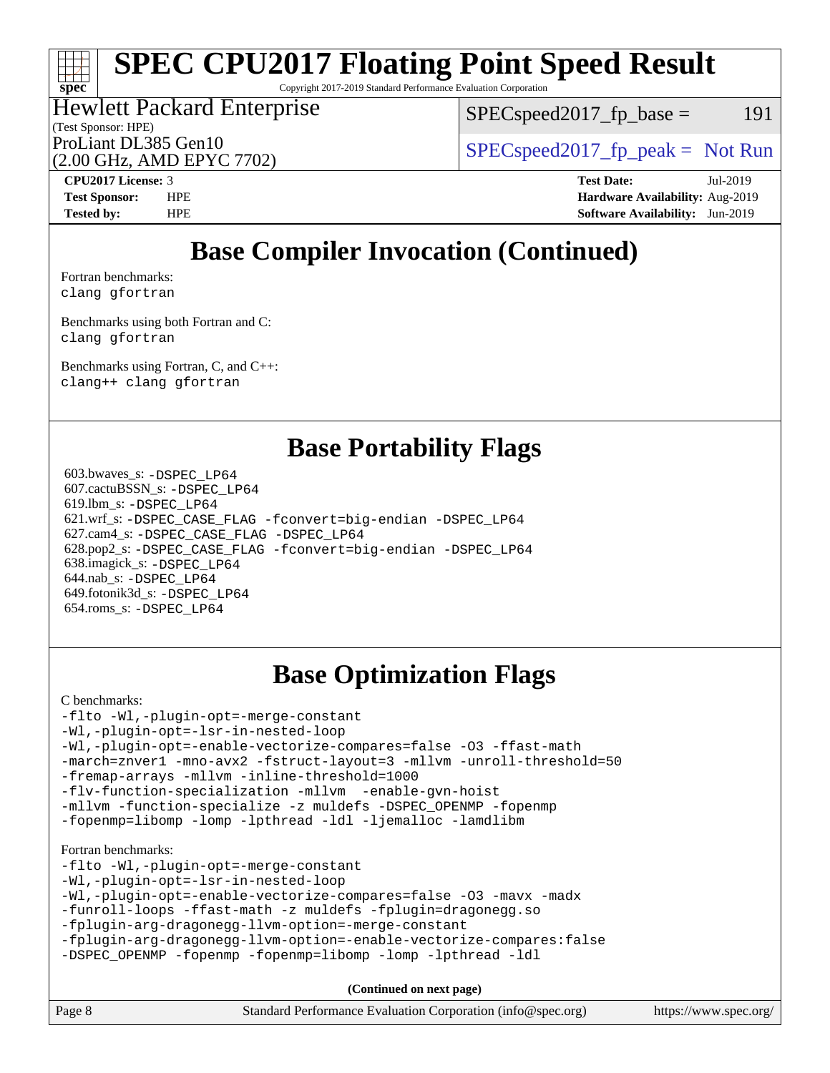Copyright 2017-2019 Standard Performance Evaluation Corporation

#### (Test Sponsor: HPE) Hewlett Packard Enterprise (2.00 GHz, AMD EPYC 7702) ProLiant DL385 Gen10<br>  $\begin{array}{c} \text{SPEC speed2017\_fp\_peak = Not Run} \\ \text{SPEC speed2017\_fp\_peak = Not Run} \end{array}$

 $SPEC speed2017_fp\_base = 191$ 

**[spec](http://www.spec.org/)**

**[CPU2017 License:](http://www.spec.org/auto/cpu2017/Docs/result-fields.html#CPU2017License)** 3 **[Test Date:](http://www.spec.org/auto/cpu2017/Docs/result-fields.html#TestDate)** Jul-2019 **[Test Sponsor:](http://www.spec.org/auto/cpu2017/Docs/result-fields.html#TestSponsor)** HPE **[Hardware Availability:](http://www.spec.org/auto/cpu2017/Docs/result-fields.html#HardwareAvailability)** Aug-2019 **[Tested by:](http://www.spec.org/auto/cpu2017/Docs/result-fields.html#Testedby)** HPE **[Software Availability:](http://www.spec.org/auto/cpu2017/Docs/result-fields.html#SoftwareAvailability)** Jun-2019

# **[Base Compiler Invocation \(Continued\)](http://www.spec.org/auto/cpu2017/Docs/result-fields.html#BaseCompilerInvocation)**

[Fortran benchmarks](http://www.spec.org/auto/cpu2017/Docs/result-fields.html#Fortranbenchmarks): [clang](http://www.spec.org/cpu2017/results/res2019q3/cpu2017-20190723-16394.flags.html#user_FCbase_clang-c) [gfortran](http://www.spec.org/cpu2017/results/res2019q3/cpu2017-20190723-16394.flags.html#user_FCbase_aocc-gfortran_128c91a56d61ddb07404721e65b8f9498c31a443dacbd3b7f212891090eca86e2d099b520f75b99e9e8ac4fdec01f4d15f0b65e47123ec4c42b0759045731a1f)

[Benchmarks using both Fortran and C](http://www.spec.org/auto/cpu2017/Docs/result-fields.html#BenchmarksusingbothFortranandC): [clang](http://www.spec.org/cpu2017/results/res2019q3/cpu2017-20190723-16394.flags.html#user_CC_FCbase_clang-c) [gfortran](http://www.spec.org/cpu2017/results/res2019q3/cpu2017-20190723-16394.flags.html#user_CC_FCbase_aocc-gfortran_128c91a56d61ddb07404721e65b8f9498c31a443dacbd3b7f212891090eca86e2d099b520f75b99e9e8ac4fdec01f4d15f0b65e47123ec4c42b0759045731a1f)

[Benchmarks using Fortran, C, and C++:](http://www.spec.org/auto/cpu2017/Docs/result-fields.html#BenchmarksusingFortranCandCXX) [clang++](http://www.spec.org/cpu2017/results/res2019q3/cpu2017-20190723-16394.flags.html#user_CC_CXX_FCbase_clang-cpp) [clang](http://www.spec.org/cpu2017/results/res2019q3/cpu2017-20190723-16394.flags.html#user_CC_CXX_FCbase_clang-c) [gfortran](http://www.spec.org/cpu2017/results/res2019q3/cpu2017-20190723-16394.flags.html#user_CC_CXX_FCbase_aocc-gfortran_128c91a56d61ddb07404721e65b8f9498c31a443dacbd3b7f212891090eca86e2d099b520f75b99e9e8ac4fdec01f4d15f0b65e47123ec4c42b0759045731a1f)

# **[Base Portability Flags](http://www.spec.org/auto/cpu2017/Docs/result-fields.html#BasePortabilityFlags)**

 603.bwaves\_s: [-DSPEC\\_LP64](http://www.spec.org/cpu2017/results/res2019q3/cpu2017-20190723-16394.flags.html#suite_baseEXTRA_PORTABILITY603_bwaves_s_DSPEC_LP64) 607.cactuBSSN\_s: [-DSPEC\\_LP64](http://www.spec.org/cpu2017/results/res2019q3/cpu2017-20190723-16394.flags.html#suite_baseEXTRA_PORTABILITY607_cactuBSSN_s_DSPEC_LP64) 619.lbm\_s: [-DSPEC\\_LP64](http://www.spec.org/cpu2017/results/res2019q3/cpu2017-20190723-16394.flags.html#suite_baseEXTRA_PORTABILITY619_lbm_s_DSPEC_LP64) 621.wrf\_s: [-DSPEC\\_CASE\\_FLAG](http://www.spec.org/cpu2017/results/res2019q3/cpu2017-20190723-16394.flags.html#b621.wrf_s_baseCPORTABILITY_DSPEC_CASE_FLAG) [-fconvert=big-endian](http://www.spec.org/cpu2017/results/res2019q3/cpu2017-20190723-16394.flags.html#user_baseFPORTABILITY621_wrf_s_F-fconvert) [-DSPEC\\_LP64](http://www.spec.org/cpu2017/results/res2019q3/cpu2017-20190723-16394.flags.html#suite_baseEXTRA_PORTABILITY621_wrf_s_DSPEC_LP64) 627.cam4\_s: [-DSPEC\\_CASE\\_FLAG](http://www.spec.org/cpu2017/results/res2019q3/cpu2017-20190723-16394.flags.html#b627.cam4_s_basePORTABILITY_DSPEC_CASE_FLAG) [-DSPEC\\_LP64](http://www.spec.org/cpu2017/results/res2019q3/cpu2017-20190723-16394.flags.html#suite_baseEXTRA_PORTABILITY627_cam4_s_DSPEC_LP64) 628.pop2\_s: [-DSPEC\\_CASE\\_FLAG](http://www.spec.org/cpu2017/results/res2019q3/cpu2017-20190723-16394.flags.html#b628.pop2_s_baseCPORTABILITY_DSPEC_CASE_FLAG) [-fconvert=big-endian](http://www.spec.org/cpu2017/results/res2019q3/cpu2017-20190723-16394.flags.html#user_baseFPORTABILITY628_pop2_s_F-fconvert) [-DSPEC\\_LP64](http://www.spec.org/cpu2017/results/res2019q3/cpu2017-20190723-16394.flags.html#suite_baseEXTRA_PORTABILITY628_pop2_s_DSPEC_LP64) 638.imagick\_s: [-DSPEC\\_LP64](http://www.spec.org/cpu2017/results/res2019q3/cpu2017-20190723-16394.flags.html#suite_baseEXTRA_PORTABILITY638_imagick_s_DSPEC_LP64) 644.nab\_s: [-DSPEC\\_LP64](http://www.spec.org/cpu2017/results/res2019q3/cpu2017-20190723-16394.flags.html#suite_baseEXTRA_PORTABILITY644_nab_s_DSPEC_LP64) 649.fotonik3d\_s: [-DSPEC\\_LP64](http://www.spec.org/cpu2017/results/res2019q3/cpu2017-20190723-16394.flags.html#suite_baseEXTRA_PORTABILITY649_fotonik3d_s_DSPEC_LP64) 654.roms\_s: [-DSPEC\\_LP64](http://www.spec.org/cpu2017/results/res2019q3/cpu2017-20190723-16394.flags.html#suite_baseEXTRA_PORTABILITY654_roms_s_DSPEC_LP64)

# **[Base Optimization Flags](http://www.spec.org/auto/cpu2017/Docs/result-fields.html#BaseOptimizationFlags)**

[C benchmarks](http://www.spec.org/auto/cpu2017/Docs/result-fields.html#Cbenchmarks):

| -flto -Wl,-plugin-opt=-merge-constant<br>-Wl,-plugin-opt=-lsr-in-nested-loop<br>-Wl,-plugin-opt=-enable-vectorize-compares=false -03 -ffast-math<br>-march=znver1 -mno-avx2 -fstruct-layout=3 -mllvm -unroll-threshold=50<br>-fremap-arrays -mllvm -inline-threshold=1000<br>-flv-function-specialization -mllvm -enable-qvn-hoist<br>-mllvm -function-specialize -z muldefs -DSPEC_OPENMP -fopenmp<br>-fopenmp=libomp -lomp -lpthread -ldl -ljemalloc -lamdlibm |
|------------------------------------------------------------------------------------------------------------------------------------------------------------------------------------------------------------------------------------------------------------------------------------------------------------------------------------------------------------------------------------------------------------------------------------------------------------------|
| Fortran benchmarks:<br>-flto -Wl,-plugin-opt=-merge-constant<br>-Wl,-plugin-opt=-lsr-in-nested-loop<br>-Wl,-plugin-opt=-enable-vectorize-compares=false -03 -mavx -madx<br>-funroll-loops -ffast-math -z muldefs -fplugin=dragonegg.so<br>-fplugin-arg-dragonegg-llvm-option=-merge-constant<br>-fplugin-arg-dragonegg-llvm-option=-enable-vectorize-compares:false<br>-DSPEC OPENMP -fopenmp -fopenmp=libomp -lomp -lpthread -ldl                               |
| (Continued on next page)                                                                                                                                                                                                                                                                                                                                                                                                                                         |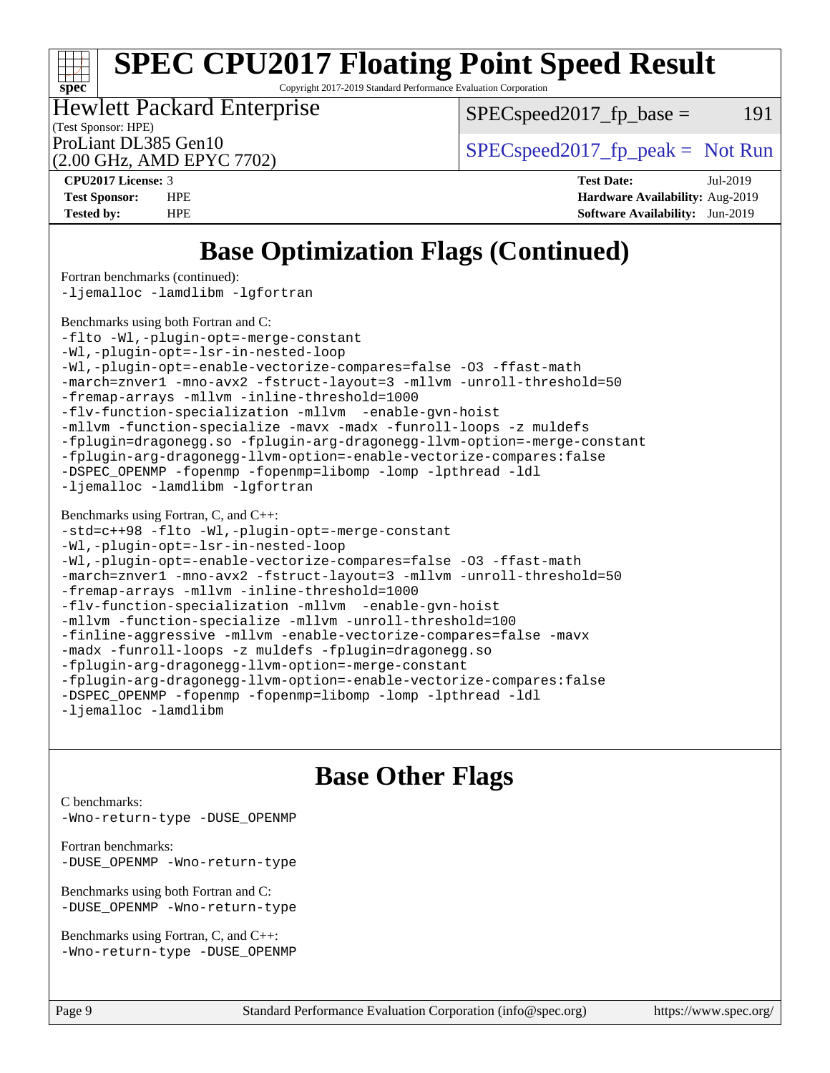Copyright 2017-2019 Standard Performance Evaluation Corporation

(Test Sponsor: HPE) Hewlett Packard Enterprise

 $SPEC speed2017<sub>fp</sub> base = 191$ 

(2.00 GHz, AMD EPYC 7702)

ProLiant DL385 Gen10  $SPEC speed2017$  [p\_peak = Not Run

**[spec](http://www.spec.org/)**

**[CPU2017 License:](http://www.spec.org/auto/cpu2017/Docs/result-fields.html#CPU2017License)** 3 **[Test Date:](http://www.spec.org/auto/cpu2017/Docs/result-fields.html#TestDate)** Jul-2019 **[Test Sponsor:](http://www.spec.org/auto/cpu2017/Docs/result-fields.html#TestSponsor)** HPE **[Hardware Availability:](http://www.spec.org/auto/cpu2017/Docs/result-fields.html#HardwareAvailability)** Aug-2019 **[Tested by:](http://www.spec.org/auto/cpu2017/Docs/result-fields.html#Testedby)** HPE **[Software Availability:](http://www.spec.org/auto/cpu2017/Docs/result-fields.html#SoftwareAvailability)** Jun-2019

# **[Base Optimization Flags \(Continued\)](http://www.spec.org/auto/cpu2017/Docs/result-fields.html#BaseOptimizationFlags)**

[Fortran benchmarks](http://www.spec.org/auto/cpu2017/Docs/result-fields.html#Fortranbenchmarks) (continued):

[-ljemalloc](http://www.spec.org/cpu2017/results/res2019q3/cpu2017-20190723-16394.flags.html#user_FCbase_jemalloc-lib) [-lamdlibm](http://www.spec.org/cpu2017/results/res2019q3/cpu2017-20190723-16394.flags.html#user_FCbase_F-lamdlibm) [-lgfortran](http://www.spec.org/cpu2017/results/res2019q3/cpu2017-20190723-16394.flags.html#user_FCbase_F-lgfortran)

[Benchmarks using both Fortran and C](http://www.spec.org/auto/cpu2017/Docs/result-fields.html#BenchmarksusingbothFortranandC):

[-flto](http://www.spec.org/cpu2017/results/res2019q3/cpu2017-20190723-16394.flags.html#user_CC_FCbase_aocc-flto) [-Wl,-plugin-opt=-merge-constant](http://www.spec.org/cpu2017/results/res2019q3/cpu2017-20190723-16394.flags.html#user_CC_FCbase_F-merge-constant_1d79771b5442061d9c8e05556c6b0c655e6c9e66f8c6936b0129d434b6acd2b1cf1b7cd2540d1570ff636111b08a6bc36e2e61fc34531f8ef7c1a34c57be1dbb) [-Wl,-plugin-opt=-lsr-in-nested-loop](http://www.spec.org/cpu2017/results/res2019q3/cpu2017-20190723-16394.flags.html#user_CC_FCbase_lsr-in-nested-loop_1cff93fd95162f5e77640b5271e8bed680fb62b4a8d96fb8ab217ff3244646f1fbb342e31af83c263403bbf5249c7dc7732d5c86c3eab4cc8d32dcb7a6f33ca0) [-Wl,-plugin-opt=-enable-vectorize-compares=false](http://www.spec.org/cpu2017/results/res2019q3/cpu2017-20190723-16394.flags.html#user_CC_FCbase_disable-vectorize-compares_b853f8418a42cc06a425f4a16db6b380d14e00519cd0324381fbe3b5fed198752fe9eb4cd4ff428f878821db69d9c031475f4f5f073a0fc0b0734450034716e8) [-O3](http://www.spec.org/cpu2017/results/res2019q3/cpu2017-20190723-16394.flags.html#user_CC_FCbase_F-O3) [-ffast-math](http://www.spec.org/cpu2017/results/res2019q3/cpu2017-20190723-16394.flags.html#user_CC_FCbase_aocc-ffast-math) [-march=znver1](http://www.spec.org/cpu2017/results/res2019q3/cpu2017-20190723-16394.flags.html#user_CC_FCbase_aocc-march) [-mno-avx2](http://www.spec.org/cpu2017/results/res2019q3/cpu2017-20190723-16394.flags.html#user_CC_FCbase_F-mno-avx2) [-fstruct-layout=3](http://www.spec.org/cpu2017/results/res2019q3/cpu2017-20190723-16394.flags.html#user_CC_FCbase_struct-layout) [-mllvm -unroll-threshold=50](http://www.spec.org/cpu2017/results/res2019q3/cpu2017-20190723-16394.flags.html#user_CC_FCbase_unroll-threshold_458874500b2c105d6d5cb4d7a611c40e2b16e9e3d26b355fea72d644c3673b4de4b3932662f0ed3dbec75c491a13da2d2ca81180bd779dc531083ef1e1e549dc) [-fremap-arrays](http://www.spec.org/cpu2017/results/res2019q3/cpu2017-20190723-16394.flags.html#user_CC_FCbase_F-fremap-arrays) [-mllvm -inline-threshold=1000](http://www.spec.org/cpu2017/results/res2019q3/cpu2017-20190723-16394.flags.html#user_CC_FCbase_dragonegg-llvm-inline-threshold_b7832241b0a6397e4ecdbaf0eb7defdc10f885c2a282fa3240fdc99844d543fda39cf8a4a9dccf68cf19b5438ac3b455264f478df15da0f4988afa40d8243bab) [-flv-function-specialization](http://www.spec.org/cpu2017/results/res2019q3/cpu2017-20190723-16394.flags.html#user_CC_FCbase_F-flv-function-specialization) [-mllvm -enable-gvn-hoist](http://www.spec.org/cpu2017/results/res2019q3/cpu2017-20190723-16394.flags.html#user_CC_FCbase_F-enable-gvn-hoist_98f0171d4f818d7f97896885cc39145d9c6ec6ecaa45bb289c3a12839072136e4af160d9bd95e903e60fee72c4a35db75799b8a57e2b8d1ccd3b6c61417e660c) [-mllvm -function-specialize](http://www.spec.org/cpu2017/results/res2019q3/cpu2017-20190723-16394.flags.html#user_CC_FCbase_function-specialize_233b3bdba86027f1b094368157e481c5bc59f40286dc25bfadc1858dcd5745c24fd30d5f188710db7fea399bcc9f44a80b3ce3aacc70a8870250c3ae5e1f35b8) [-mavx](http://www.spec.org/cpu2017/results/res2019q3/cpu2017-20190723-16394.flags.html#user_CC_FCbase_F-mavx) [-madx](http://www.spec.org/cpu2017/results/res2019q3/cpu2017-20190723-16394.flags.html#user_CC_FCbase_F-madx) [-funroll-loops](http://www.spec.org/cpu2017/results/res2019q3/cpu2017-20190723-16394.flags.html#user_CC_FCbase_aocc-unroll-loops) [-z muldefs](http://www.spec.org/cpu2017/results/res2019q3/cpu2017-20190723-16394.flags.html#user_CC_FCbase_aocc-muldefs) [-fplugin=dragonegg.so](http://www.spec.org/cpu2017/results/res2019q3/cpu2017-20190723-16394.flags.html#user_CC_FCbase_plugin-DragonEgg) [-fplugin-arg-dragonegg-llvm-option=-merge-constant](http://www.spec.org/cpu2017/results/res2019q3/cpu2017-20190723-16394.flags.html#user_CC_FCbase_F-merge-constant_37fd66d07a4fbae8f1b816e843c3ed1ebaa48f794b65ea8be746a1880566a3d23eba4a3c37b5c024650311adcf9247c62af28144803b3729b14be14423fa5142) [-fplugin-arg-dragonegg-llvm-option=-enable-vectorize-compares:false](http://www.spec.org/cpu2017/results/res2019q3/cpu2017-20190723-16394.flags.html#user_CC_FCbase_disable-vectorize-compares_d4094b735d9772f5001bab891b2a0f9b1e0f937da6fdfe4e9819ace3776bcc13a4b4fcd9a28f53dc5d73dd9ab9700532467376ddc09187e57c9ec8837a5c2d32) [-DSPEC\\_OPENMP](http://www.spec.org/cpu2017/results/res2019q3/cpu2017-20190723-16394.flags.html#suite_CC_FCbase_DSPEC_OPENMP) [-fopenmp](http://www.spec.org/cpu2017/results/res2019q3/cpu2017-20190723-16394.flags.html#user_CC_FCbase_F-fopenmp) [-fopenmp=libomp](http://www.spec.org/cpu2017/results/res2019q3/cpu2017-20190723-16394.flags.html#user_CC_FCbase_F-fopenmp_3eb6ab80166bcc84161ff8c20c8d5bc344f88119f45620444596454f7d72e99b7a0ceefc2d1b4d190bd07306bbfdfc20f11f5a2dc69c9b03c72239f8406741c3) [-lomp](http://www.spec.org/cpu2017/results/res2019q3/cpu2017-20190723-16394.flags.html#user_CC_FCbase_F-lomp) [-lpthread](http://www.spec.org/cpu2017/results/res2019q3/cpu2017-20190723-16394.flags.html#user_CC_FCbase_F-lpthread) [-ldl](http://www.spec.org/cpu2017/results/res2019q3/cpu2017-20190723-16394.flags.html#user_CC_FCbase_F-ldl) [-ljemalloc](http://www.spec.org/cpu2017/results/res2019q3/cpu2017-20190723-16394.flags.html#user_CC_FCbase_jemalloc-lib) [-lamdlibm](http://www.spec.org/cpu2017/results/res2019q3/cpu2017-20190723-16394.flags.html#user_CC_FCbase_F-lamdlibm) [-lgfortran](http://www.spec.org/cpu2017/results/res2019q3/cpu2017-20190723-16394.flags.html#user_CC_FCbase_F-lgfortran)

[Benchmarks using Fortran, C, and C++:](http://www.spec.org/auto/cpu2017/Docs/result-fields.html#BenchmarksusingFortranCandCXX)

[-std=c++98](http://www.spec.org/cpu2017/results/res2019q3/cpu2017-20190723-16394.flags.html#user_CC_CXX_FCbase_std-cpp) [-flto](http://www.spec.org/cpu2017/results/res2019q3/cpu2017-20190723-16394.flags.html#user_CC_CXX_FCbase_aocc-flto) [-Wl,-plugin-opt=-merge-constant](http://www.spec.org/cpu2017/results/res2019q3/cpu2017-20190723-16394.flags.html#user_CC_CXX_FCbase_F-merge-constant_1d79771b5442061d9c8e05556c6b0c655e6c9e66f8c6936b0129d434b6acd2b1cf1b7cd2540d1570ff636111b08a6bc36e2e61fc34531f8ef7c1a34c57be1dbb) [-Wl,-plugin-opt=-lsr-in-nested-loop](http://www.spec.org/cpu2017/results/res2019q3/cpu2017-20190723-16394.flags.html#user_CC_CXX_FCbase_lsr-in-nested-loop_1cff93fd95162f5e77640b5271e8bed680fb62b4a8d96fb8ab217ff3244646f1fbb342e31af83c263403bbf5249c7dc7732d5c86c3eab4cc8d32dcb7a6f33ca0) [-Wl,-plugin-opt=-enable-vectorize-compares=false](http://www.spec.org/cpu2017/results/res2019q3/cpu2017-20190723-16394.flags.html#user_CC_CXX_FCbase_disable-vectorize-compares_b853f8418a42cc06a425f4a16db6b380d14e00519cd0324381fbe3b5fed198752fe9eb4cd4ff428f878821db69d9c031475f4f5f073a0fc0b0734450034716e8) [-O3](http://www.spec.org/cpu2017/results/res2019q3/cpu2017-20190723-16394.flags.html#user_CC_CXX_FCbase_F-O3) [-ffast-math](http://www.spec.org/cpu2017/results/res2019q3/cpu2017-20190723-16394.flags.html#user_CC_CXX_FCbase_aocc-ffast-math) [-march=znver1](http://www.spec.org/cpu2017/results/res2019q3/cpu2017-20190723-16394.flags.html#user_CC_CXX_FCbase_aocc-march) [-mno-avx2](http://www.spec.org/cpu2017/results/res2019q3/cpu2017-20190723-16394.flags.html#user_CC_CXX_FCbase_F-mno-avx2) [-fstruct-layout=3](http://www.spec.org/cpu2017/results/res2019q3/cpu2017-20190723-16394.flags.html#user_CC_CXX_FCbase_struct-layout) [-mllvm -unroll-threshold=50](http://www.spec.org/cpu2017/results/res2019q3/cpu2017-20190723-16394.flags.html#user_CC_CXX_FCbase_unroll-threshold_458874500b2c105d6d5cb4d7a611c40e2b16e9e3d26b355fea72d644c3673b4de4b3932662f0ed3dbec75c491a13da2d2ca81180bd779dc531083ef1e1e549dc) [-fremap-arrays](http://www.spec.org/cpu2017/results/res2019q3/cpu2017-20190723-16394.flags.html#user_CC_CXX_FCbase_F-fremap-arrays) [-mllvm -inline-threshold=1000](http://www.spec.org/cpu2017/results/res2019q3/cpu2017-20190723-16394.flags.html#user_CC_CXX_FCbase_dragonegg-llvm-inline-threshold_b7832241b0a6397e4ecdbaf0eb7defdc10f885c2a282fa3240fdc99844d543fda39cf8a4a9dccf68cf19b5438ac3b455264f478df15da0f4988afa40d8243bab) [-flv-function-specialization](http://www.spec.org/cpu2017/results/res2019q3/cpu2017-20190723-16394.flags.html#user_CC_CXX_FCbase_F-flv-function-specialization) [-mllvm -enable-gvn-hoist](http://www.spec.org/cpu2017/results/res2019q3/cpu2017-20190723-16394.flags.html#user_CC_CXX_FCbase_F-enable-gvn-hoist_98f0171d4f818d7f97896885cc39145d9c6ec6ecaa45bb289c3a12839072136e4af160d9bd95e903e60fee72c4a35db75799b8a57e2b8d1ccd3b6c61417e660c) [-mllvm -function-specialize](http://www.spec.org/cpu2017/results/res2019q3/cpu2017-20190723-16394.flags.html#user_CC_CXX_FCbase_function-specialize_233b3bdba86027f1b094368157e481c5bc59f40286dc25bfadc1858dcd5745c24fd30d5f188710db7fea399bcc9f44a80b3ce3aacc70a8870250c3ae5e1f35b8) [-mllvm -unroll-threshold=100](http://www.spec.org/cpu2017/results/res2019q3/cpu2017-20190723-16394.flags.html#user_CC_CXX_FCbase_unroll-threshold_2755d0c78138845d361fa1543e3a063fffa198df9b3edf0cfb856bbc88a81e1769b12ac7a550c5d35197be55360db1a3f95a8d1304df999456cabf5120c45168) [-finline-aggressive](http://www.spec.org/cpu2017/results/res2019q3/cpu2017-20190723-16394.flags.html#user_CC_CXX_FCbase_F-finline-aggressive) [-mllvm -enable-vectorize-compares=false](http://www.spec.org/cpu2017/results/res2019q3/cpu2017-20190723-16394.flags.html#user_CC_CXX_FCbase_disable-vectorize-compares_744e96dfaf0e6a0a8f558ad1f5117f7c029494e749ba2ce0369b998eced2f14f36c9acf9c44ff6efbd2349df21357d03f05694bcf5c1bda7e49ae93e191b7f84) [-mavx](http://www.spec.org/cpu2017/results/res2019q3/cpu2017-20190723-16394.flags.html#user_CC_CXX_FCbase_F-mavx) [-madx](http://www.spec.org/cpu2017/results/res2019q3/cpu2017-20190723-16394.flags.html#user_CC_CXX_FCbase_F-madx) [-funroll-loops](http://www.spec.org/cpu2017/results/res2019q3/cpu2017-20190723-16394.flags.html#user_CC_CXX_FCbase_aocc-unroll-loops) [-z muldefs](http://www.spec.org/cpu2017/results/res2019q3/cpu2017-20190723-16394.flags.html#user_CC_CXX_FCbase_aocc-muldefs) [-fplugin=dragonegg.so](http://www.spec.org/cpu2017/results/res2019q3/cpu2017-20190723-16394.flags.html#user_CC_CXX_FCbase_plugin-DragonEgg) [-fplugin-arg-dragonegg-llvm-option=-merge-constant](http://www.spec.org/cpu2017/results/res2019q3/cpu2017-20190723-16394.flags.html#user_CC_CXX_FCbase_F-merge-constant_37fd66d07a4fbae8f1b816e843c3ed1ebaa48f794b65ea8be746a1880566a3d23eba4a3c37b5c024650311adcf9247c62af28144803b3729b14be14423fa5142) [-fplugin-arg-dragonegg-llvm-option=-enable-vectorize-compares:false](http://www.spec.org/cpu2017/results/res2019q3/cpu2017-20190723-16394.flags.html#user_CC_CXX_FCbase_disable-vectorize-compares_d4094b735d9772f5001bab891b2a0f9b1e0f937da6fdfe4e9819ace3776bcc13a4b4fcd9a28f53dc5d73dd9ab9700532467376ddc09187e57c9ec8837a5c2d32) [-DSPEC\\_OPENMP](http://www.spec.org/cpu2017/results/res2019q3/cpu2017-20190723-16394.flags.html#suite_CC_CXX_FCbase_DSPEC_OPENMP) [-fopenmp](http://www.spec.org/cpu2017/results/res2019q3/cpu2017-20190723-16394.flags.html#user_CC_CXX_FCbase_F-fopenmp) [-fopenmp=libomp](http://www.spec.org/cpu2017/results/res2019q3/cpu2017-20190723-16394.flags.html#user_CC_CXX_FCbase_F-fopenmp_3eb6ab80166bcc84161ff8c20c8d5bc344f88119f45620444596454f7d72e99b7a0ceefc2d1b4d190bd07306bbfdfc20f11f5a2dc69c9b03c72239f8406741c3) [-lomp](http://www.spec.org/cpu2017/results/res2019q3/cpu2017-20190723-16394.flags.html#user_CC_CXX_FCbase_F-lomp) [-lpthread](http://www.spec.org/cpu2017/results/res2019q3/cpu2017-20190723-16394.flags.html#user_CC_CXX_FCbase_F-lpthread) [-ldl](http://www.spec.org/cpu2017/results/res2019q3/cpu2017-20190723-16394.flags.html#user_CC_CXX_FCbase_F-ldl) [-ljemalloc](http://www.spec.org/cpu2017/results/res2019q3/cpu2017-20190723-16394.flags.html#user_CC_CXX_FCbase_jemalloc-lib) [-lamdlibm](http://www.spec.org/cpu2017/results/res2019q3/cpu2017-20190723-16394.flags.html#user_CC_CXX_FCbase_F-lamdlibm)

# **[Base Other Flags](http://www.spec.org/auto/cpu2017/Docs/result-fields.html#BaseOtherFlags)**

[C benchmarks](http://www.spec.org/auto/cpu2017/Docs/result-fields.html#Cbenchmarks): [-Wno-return-type](http://www.spec.org/cpu2017/results/res2019q3/cpu2017-20190723-16394.flags.html#user_CCbase_F-Wno-return-type) [-DUSE\\_OPENMP](http://www.spec.org/cpu2017/results/res2019q3/cpu2017-20190723-16394.flags.html#user_CCbase_F-DUSE_OPENMP)

[Fortran benchmarks](http://www.spec.org/auto/cpu2017/Docs/result-fields.html#Fortranbenchmarks): [-DUSE\\_OPENMP](http://www.spec.org/cpu2017/results/res2019q3/cpu2017-20190723-16394.flags.html#user_FCbase_F-DUSE_OPENMP) [-Wno-return-type](http://www.spec.org/cpu2017/results/res2019q3/cpu2017-20190723-16394.flags.html#user_FCbase_F-Wno-return-type)

[Benchmarks using both Fortran and C](http://www.spec.org/auto/cpu2017/Docs/result-fields.html#BenchmarksusingbothFortranandC): [-DUSE\\_OPENMP](http://www.spec.org/cpu2017/results/res2019q3/cpu2017-20190723-16394.flags.html#user_CC_FCbase_F-DUSE_OPENMP) [-Wno-return-type](http://www.spec.org/cpu2017/results/res2019q3/cpu2017-20190723-16394.flags.html#user_CC_FCbase_F-Wno-return-type)

[Benchmarks using Fortran, C, and C++:](http://www.spec.org/auto/cpu2017/Docs/result-fields.html#BenchmarksusingFortranCandCXX) [-Wno-return-type](http://www.spec.org/cpu2017/results/res2019q3/cpu2017-20190723-16394.flags.html#user_CC_CXX_FCbase_F-Wno-return-type) [-DUSE\\_OPENMP](http://www.spec.org/cpu2017/results/res2019q3/cpu2017-20190723-16394.flags.html#user_CC_CXX_FCbase_F-DUSE_OPENMP)